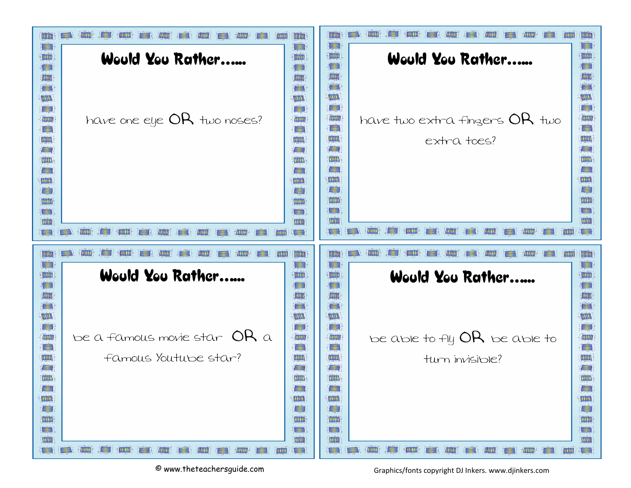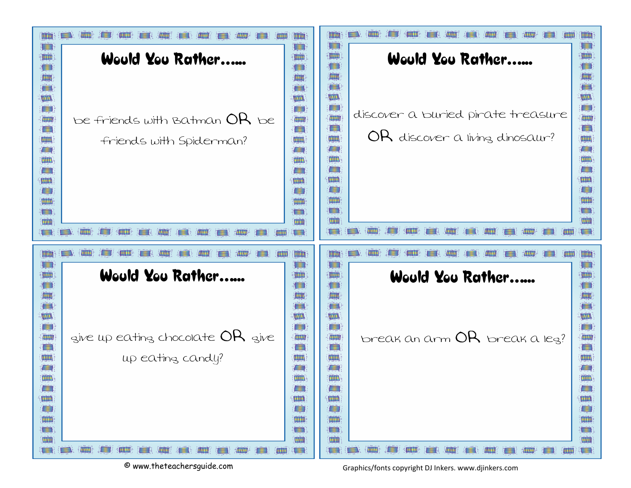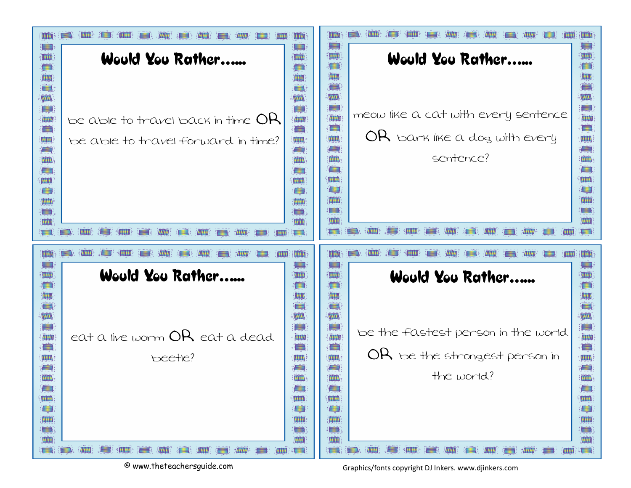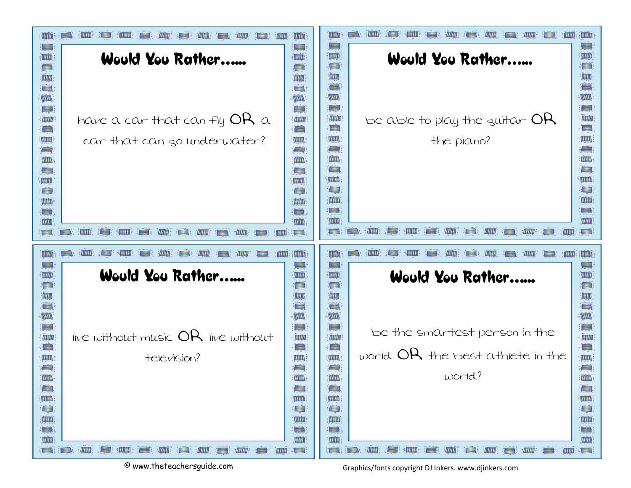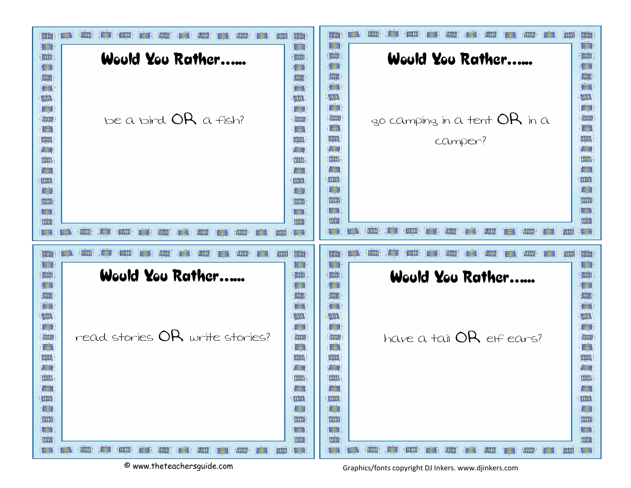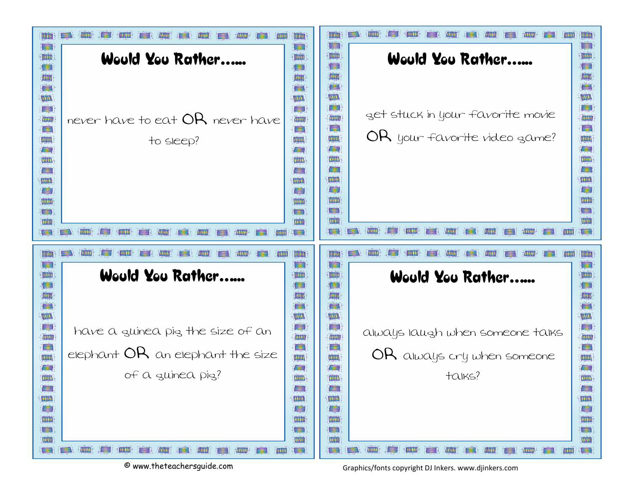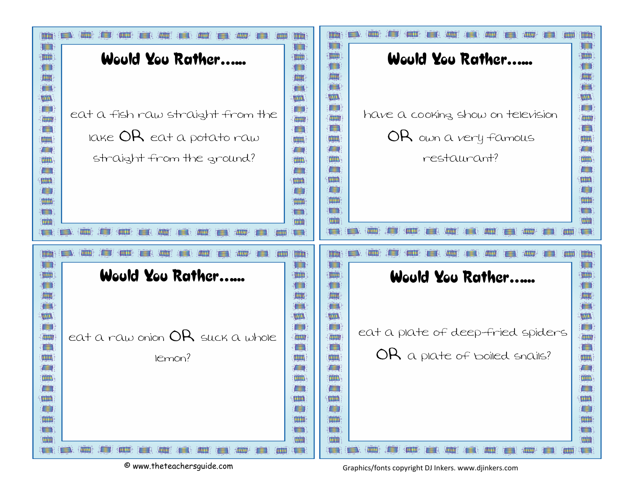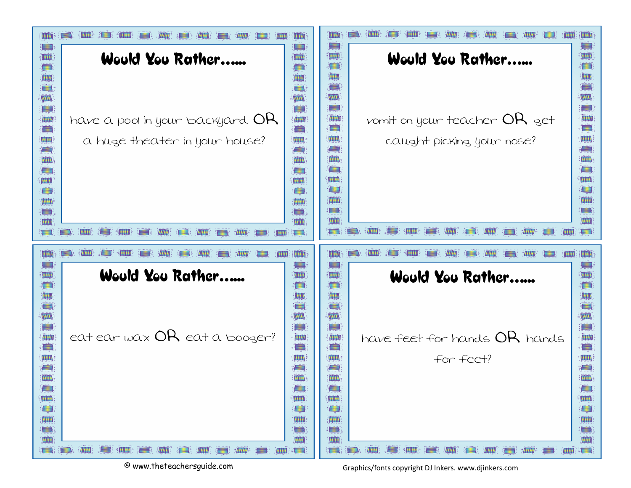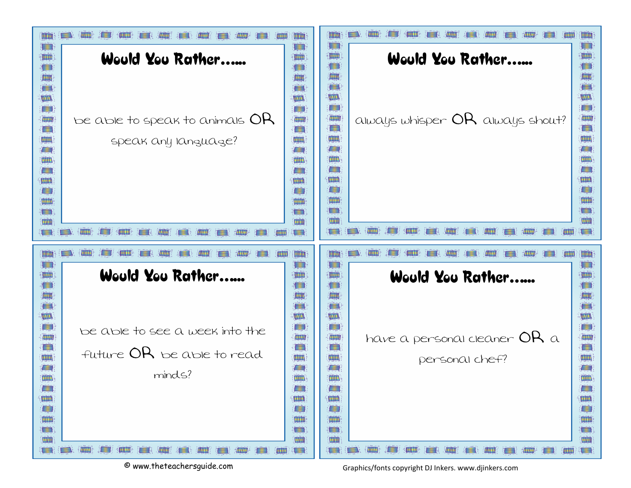